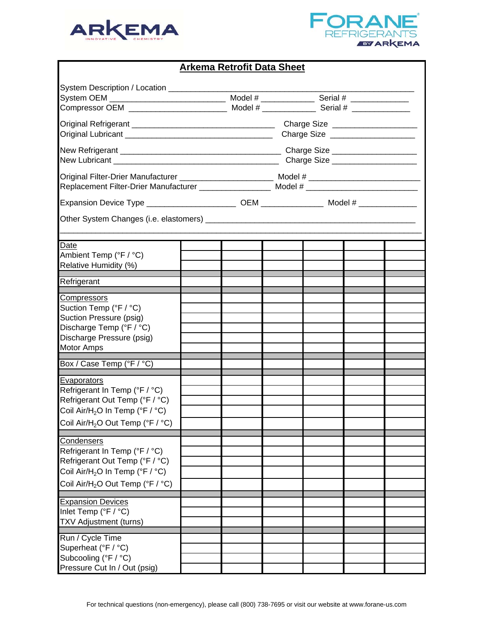



## **Arkema Retrofit Data Sheet**

| System Description / Location ______________<br>Original Filter-Drier Manufacturer ________________________________ Model # ________________________<br>Replacement Filter-Drier Manufacturer __________________ Model # __________________________________ | Charge Size ____________________<br>Charge Size ____________________ |  |  |  |  |
|-------------------------------------------------------------------------------------------------------------------------------------------------------------------------------------------------------------------------------------------------------------|----------------------------------------------------------------------|--|--|--|--|
| Date<br>Ambient Temp (°F / °C)<br>Relative Humidity (%)                                                                                                                                                                                                     |                                                                      |  |  |  |  |
| Refrigerant                                                                                                                                                                                                                                                 |                                                                      |  |  |  |  |
| Compressors<br>Suction Temp (°F / °C)<br>Suction Pressure (psig)<br>Discharge Temp (°F / °C)<br>Discharge Pressure (psig)<br><b>Motor Amps</b>                                                                                                              |                                                                      |  |  |  |  |
| Box / Case Temp (°F / °C)                                                                                                                                                                                                                                   |                                                                      |  |  |  |  |
| Evaporators<br>Refrigerant In Temp (°F / °C)<br>Refrigerant Out Temp (°F / °C)<br>Coil Air/H <sub>2</sub> O In Temp (°F / °C)<br>Coil Air/H <sub>2</sub> O Out Temp (°F / °C)                                                                               |                                                                      |  |  |  |  |
| <u>Condensers</u><br>Refrigerant In Temp (°F / °C)<br>Refrigerant Out Temp (°F / °C)<br>Coil Air/H <sub>2</sub> O In Temp (°F / °C)<br>Coil Air/H <sub>2</sub> O Out Temp (°F / °C)                                                                         |                                                                      |  |  |  |  |
| <b>Expansion Devices</b><br>Inlet Temp (°F / °C)<br>TXV Adjustment (turns)                                                                                                                                                                                  |                                                                      |  |  |  |  |
| Run / Cycle Time<br>Superheat (°F / °C)<br>Subcooling (°F / °C)<br>Pressure Cut In / Out (psig)                                                                                                                                                             |                                                                      |  |  |  |  |